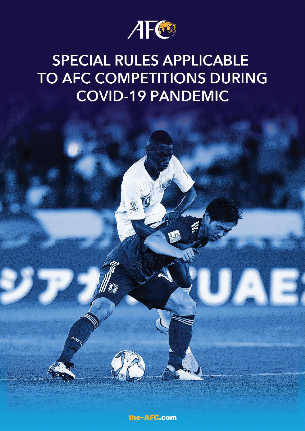

# **SPECIAL RULES APPLICABLE** TO AFC COMPETITIONS DURING **COVID-19 PANDEMIC**

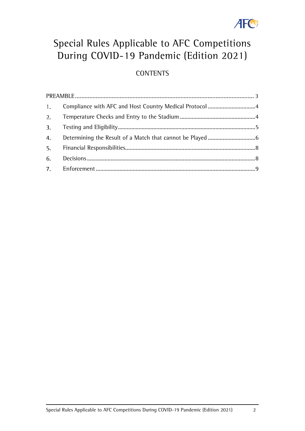## **AFC**

## **Special Rules Applicable to AFC Competitions During COVID-19 Pandemic (Edition 2021)**

**CONTENTS**

| 1. |  |
|----|--|
| 2. |  |
| 3. |  |
| 4. |  |
| 5. |  |
| 6. |  |
|    |  |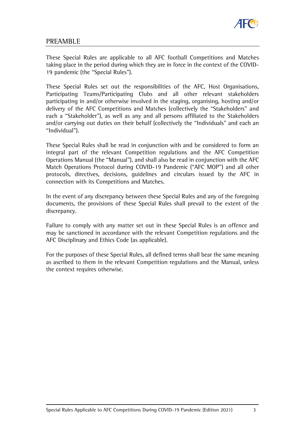

### <span id="page-2-0"></span>**PREAMBLE**

**These Special Rules are applicable to all AFC football Competitions and Matches taking place in the period during which they are in force in the context of the COVID-19 pandemic (the "Special Rules").** 

**These Special Rules set out the responsibilities of the AFC, Host Organisations, Participating Teams/Participating Clubs and all other relevant stakeholders participating in and/or otherwise involved in the staging, organising, hosting and/or delivery of the AFC Competitions and Matches (collectively the "Stakeholders" and each a "Stakeholder"), as well as any and all persons affiliated to the Stakeholders and/or carrying out duties on their behalf (collectively the "Individuals" and each an "Individual").**

**These Special Rules shall be read in conjunction with and be considered to form an integral part of the relevant Competition regulations and the AFC Competition Operations Manual (the "Manual"), and shall also be read in conjunction with the AFC Match Operations Protocol during COVID-19 Pandemic ("AFC MOP") and all other protocols, directives, decisions, guidelines and circulars issued by the AFC in connection with its Competitions and Matches.**

**In the event of any discrepancy between these Special Rules and any of the foregoing documents, the provisions of these Special Rules shall prevail to the extent of the discrepancy.**

**Failure to comply with any matter set out in these Special Rules is an offence and may be sanctioned in accordance with the relevant Competition regulations and the AFC Disciplinary and Ethics Code (as applicable).**

**For the purposes of these Special Rules, all defined terms shall bear the same meaning as ascribed to them in the relevant Competition regulations and the Manual, unless the context requires otherwise.**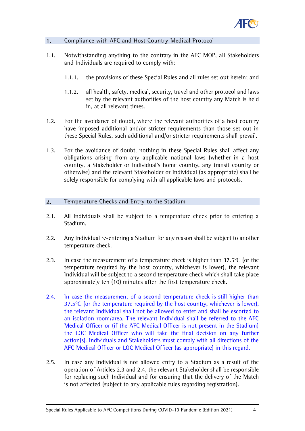

#### <span id="page-3-0"></span> $1.$ **Compliance with AFC and Host Country Medical Protocol**

- **1.1. Notwithstanding anything to the contrary in the AFC MOP, all Stakeholders and Individuals are required to comply with:**
	- **1.1.1. the provisions of these Special Rules and all rules set out herein; and**
	- **1.1.2. all health, safety, medical, security, travel and other protocol and laws set by the relevant authorities of the host country any Match is held in, at all relevant times.**
- **1.2. For the avoidance of doubt, where the relevant authorities of a host country have imposed additional and/or stricter requirements than those set out in these Special Rules, such additional and/or stricter requirements shall prevail.**
- **1.3. For the avoidance of doubt, nothing in these Special Rules shall affect any obligations arising from any applicable national laws (whether in a host country, a Stakeholder or Individual's home country, any transit country or otherwise) and the relevant Stakeholder or Individual (as appropriate) shall be solely responsible for complying with all applicable laws and protocols.**

#### <span id="page-3-1"></span> $2.$ **Temperature Checks and Entry to the Stadium**

- **2.1. All Individuals shall be subject to a temperature check prior to entering a Stadium.**
- **2.2. Any Individual re-entering a Stadium for any reason shall be subject to another temperature check.**
- **2.3. In case the measurement of a temperature check is higher than 37.5**℃ **(or the temperature required by the host country, whichever is lower), the relevant Individual will be subject to a second temperature check which shall take place approximately ten (10) minutes after the first temperature check.**
- **2.4. In case the measurement of a second temperature check is still higher than 37.5**℃ **(or the temperature required by the host country, whichever is lower), the relevant Individual shall not be allowed to enter and shall be escorted to an isolation room/area. The relevant Individual shall be referred to the AFC Medical Officer or (if the AFC Medical Officer is not present in the Stadium) the LOC Medical Officer who will take the final decision on any further action(s). Individuals and Stakeholders must comply with all directions of the AFC Medical Officer or LOC Medical Officer (as appropriate) in this regard.**
- **2.5. In case any Individual is not allowed entry to a Stadium as a result of the operation of Articles 2.3 and 2.4, the relevant Stakeholder shall be responsible for replacing such Individual and for ensuring that the delivery of the Match is not affected (subject to any applicable rules regarding registration).**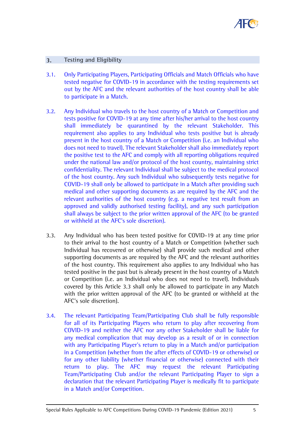

#### <span id="page-4-0"></span> $3.$ **Testing and Eligibility**

- **3.1. Only Participating Players, Participating Officials and Match Officials who have tested negative for COVID-19 in accordance with the testing requirements set out by the AFC and the relevant authorities of the host country shall be able to participate in a Match.**
- **3.2. Any Individual who travels to the host country of a Match or Competition and tests positive for COVID-19 at any time after his/her arrival to the host country shall immediately be quarantined by the relevant Stakeholder. This requirement also applies to any Individual who tests positive but is already present in the host country of a Match or Competition (i.e. an Individual who does not need to travel). The relevant Stakeholder shall also immediately report the positive test to the AFC and comply with all reporting obligations required under the national law and/or protocol of the host country, maintaining strict confidentiality. The relevant Individual shall be subject to the medical protocol of the host country. Any such Individual who subsequently tests negative for COVID-19 shall only be allowed to participate in a Match after providing such medical and other supporting documents as are required by the AFC and the relevant authorities of the host country (e.g. a negative test result from an approved and validly authorised testing facility), and any such participation shall always be subject to the prior written approval of the AFC (to be granted or withheld at the AFC's sole discretion).**
- **3.3. Any Individual who has been tested positive for COVID-19 at any time prior to their arrival to the host country of a Match or Competition (whether such Individual has recovered or otherwise) shall provide such medical and other supporting documents as are required by the AFC and the relevant authorities of the host country. This requirement also applies to any Individual who has tested positive in the past but is already present in the host country of a Match or Competition (i.e. an Individual who does not need to travel). Individuals covered by this Article 3.3 shall only be allowed to participate in any Match with the prior written approval of the AFC (to be granted or withheld at the AFC's sole discretion).**
- **3.4. The relevant Participating Team/Participating Club shall be fully responsible for all of its Participating Players who return to play after recovering from COVID-19 and neither the AFC nor any other Stakeholder shall be liable for any medical complication that may develop as a result of or in connection with any Participating Player's return to play in a Match and/or participation in a Competition (whether from the after effects of COVID-19 or otherwise) or for any other liability (whether financial or otherwise) connected with their return to play. The AFC may request the relevant Participating Team/Participating Club and/or the relevant Participating Player to sign a declaration that the relevant Participating Player is medically fit to participate in a Match and/or Competition.**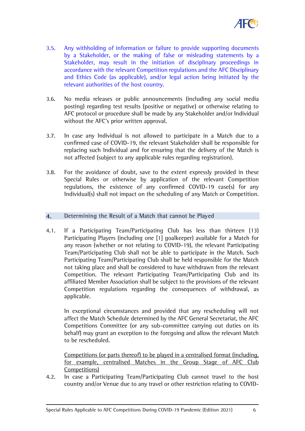

- **3.5. Any withholding of information or failure to provide supporting documents by a Stakeholder, or the making of false or misleading statements by a Stakeholder, may result in the initiation of disciplinary proceedings in accordance with the relevant Competition regulations and the AFC Disciplinary and Ethics Code (as applicable), and/or legal action being initiated by the relevant authorities of the host country.**
- **3.6. No media releases or public announcements (including any social media posting) regarding test results (positive or negative) or otherwise relating to AFC protocol or procedure shall be made by any Stakeholder and/or Individual without the AFC's prior written approval.**
- **3.7. In case any Individual is not allowed to participate in a Match due to a confirmed case of COVID-19, the relevant Stakeholder shall be responsible for replacing such Individual and for ensuring that the delivery of the Match is not affected (subject to any applicable rules regarding registration).**
- **3.8. For the avoidance of doubt, save to the extent expressly provided in these Special Rules or otherwise by application of the relevant Competition regulations, the existence of any confirmed COVID-19 case(s) for any Individual(s) shall not impact on the scheduling of any Match or Competition.**

#### <span id="page-5-0"></span> $4.$ **Determining the Result of a Match that cannot be Played**

**4.1. If a Participating Team/Participating Club has less than thirteen (13) Participating Players (including one [1] goalkeeper) available for a Match for any reason (whether or not relating to COVID-19), the relevant Participating Team/Participating Club shall not be able to participate in the Match. Such Participating Team/Participating Club shall be held responsible for the Match not taking place and shall be considered to have withdrawn from the relevant Competition. The relevant Participating Team/Participating Club and its affiliated Member Association shall be subject to the provisions of the relevant Competition regulations regarding the consequences of withdrawal, as applicable.**

**In exceptional circumstances and provided that any rescheduling will not affect the Match Schedule determined by the AFC General Secretariat, the AFC Competitions Committee (or any sub-committee carrying out duties on its behalf) may grant an exception to the foregoing and allow the relevant Match to be rescheduled.** 

**Competitions (or parts thereof) to be played in a centralised format (including, for example, centralised Matches in the Group Stage of AFC Club Competitions)**

**4.2. In case a Participating Team/Participating Club cannot travel to the host country and/or Venue due to any travel or other restriction relating to COVID-**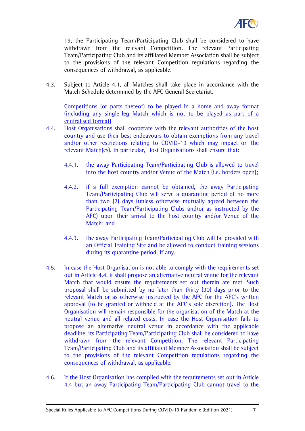

**19, the Participating Team/Participating Club shall be considered to have withdrawn from the relevant Competition. The relevant Participating Team/Participating Club and its affiliated Member Association shall be subject to the provisions of the relevant Competition regulations regarding the consequences of withdrawal, as applicable.**

**4.3. Subject to Article 4.1, all Matches shall take place in accordance with the Match Schedule determined by the AFC General Secretariat.**

**Competitions (or parts thereof) to be played in a home and away format (including any single-leg Match which is not to be played as part of a centralised format)**

- **4.4. Host Organisations shall cooperate with the relevant authorities of the host country and use their best endeavours to obtain exemptions from any travel and/or other restrictions relating to COVID-19 which may impact on the relevant Match(es). In particular, Host Organisations shall ensure that:**
	- **4.4.1. the away Participating Team/Participating Club is allowed to travel into the host country and/or Venue of the Match (i.e. borders open);**
	- **4.4.2. if a full exemption cannot be obtained, the away Participating Team/Participating Club will serve a quarantine period of no more than two (2) days (unless otherwise mutually agreed between the Participating Team/Participating Clubs and/or as instructed by the AFC) upon their arrival to the host country and/or Venue of the Match; and**
	- **4.4.3. the away Participating Team/Participating Club will be provided with an Official Training Site and be allowed to conduct training sessions during its quarantine period, if any.**
- **4.5. In case the Host Organisation is not able to comply with the requirements set out in Article 4.4, it shall propose an alternative neutral venue for the relevant Match that would ensure the requirements set out therein are met. Such proposal shall be submitted by no later than thirty (30) days prior to the relevant Match or as otherwise instructed by the AFC for the AFC's written approval (to be granted or withheld at the AFC's sole discretion). The Host Organisation will remain responsible for the organisation of the Match at the neutral venue and all related costs. In case the Host Organisation fails to propose an alternative neutral venue in accordance with the applicable deadline, its Participating Team/Participating Club shall be considered to have withdrawn from the relevant Competition. The relevant Participating Team/Participating Club and its affiliated Member Association shall be subject to the provisions of the relevant Competition regulations regarding the consequences of withdrawal, as applicable.**
- **4.6. If the Host Organisation has complied with the requirements set out in Article 4.4 but an away Participating Team/Participating Club cannot travel to the**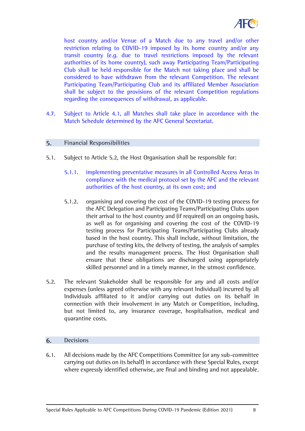

**host country and/or Venue of a Match due to any travel and/or other restriction relating to COVID-19 imposed by its home country and/or any transit country (e.g. due to travel restrictions imposed by the relevant authorities of its home country), such away Participating Team/Participating Club shall be held responsible for the Match not taking place and shall be considered to have withdrawn from the relevant Competition. The relevant Participating Team/Participating Club and its affiliated Member Association shall be subject to the provisions of the relevant Competition regulations regarding the consequences of withdrawal, as applicable.**

**4.7. Subject to Article 4.1, all Matches shall take place in accordance with the Match Schedule determined by the AFC General Secretariat.**

#### <span id="page-7-0"></span>5. **Financial Responsibilities**

- **5.1. Subject to Article 5.2, the Host Organisation shall be responsible for:**
	- **5.1.1. implementing preventative measures in all Controlled Access Areas in compliance with the medical protocol set by the AFC and the relevant authorities of the host country, at its own cost; and**
	- **5.1.2. organising and covering the cost of the COVID-19 testing process for the AFC Delegation and Participating Teams/Participating Clubs upon their arrival to the host country and (if required) on an ongoing basis, as well as for organising and covering the cost of the COVID-19 testing process for Participating Teams/Participating Clubs already based in the host country. This shall include, without limitation, the purchase of testing kits, the delivery of testing, the analysis of samples and the results management process. The Host Organisation shall ensure that these obligations are discharged using appropriately skilled personnel and in a timely manner, in the utmost confidence.**
- **5.2. The relevant Stakeholder shall be responsible for any and all costs and/or expenses (unless agreed otherwise with any relevant Individual) incurred by all Individuals affiliated to it and/or carrying out duties on its behalf in connection with their involvement in any Match or Competition, including, but not limited to, any insurance coverage, hospitalisation, medical and quarantine costs.**

#### <span id="page-7-1"></span>6. **Decisions**

**6.1. All decisions made by the AFC Competitions Committee (or any sub-committee carrying out duties on its behalf) in accordance with these Special Rules, except where expressly identified otherwise, are final and binding and not appealable.**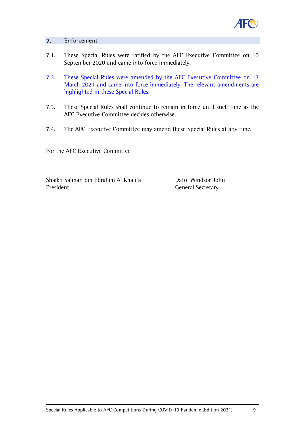

#### <span id="page-8-0"></span> $7.$ **Enforcement**

- **7.1. These Special Rules were ratified by the AFC Executive Committee on 10 September 2020 and came into force immediately.**
- **7.2. These Special Rules were amended by the AFC Executive Committee on 17 March 2021 and came into force immediately. The relevant amendments are highlighted in these Special Rules.**
- **7.3. These Special Rules shall continue to remain in force until such time as the AFC Executive Committee decides otherwise.**
- **7.4. The AFC Executive Committee may amend these Special Rules at any time.**

**For the AFC Executive Committee**

**Shaikh Salman bin Ebrahim Al Khalifa Dato' Windsor John President General Secretary**